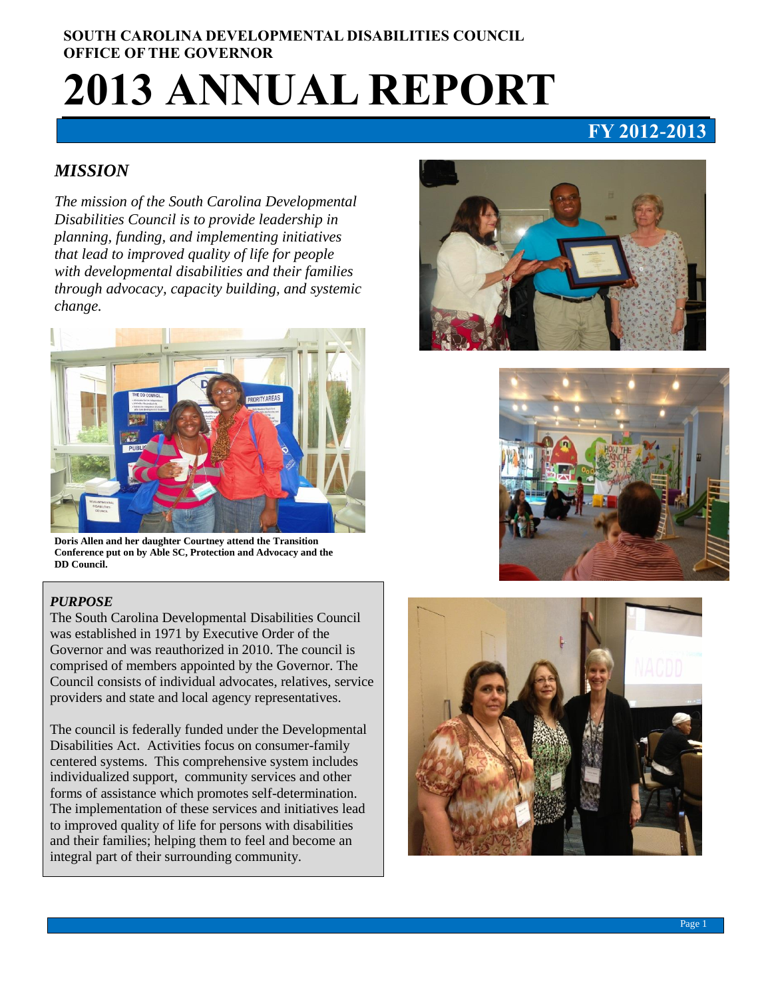# **SOUTH CAROLINA DEVELOPMENTAL DISABILITIES COUNCIL OFFICE OF THE GOVERNOR 2013 ANNUAL REPORT**

# **FY 2012-2013**

## *MISSION*

*The mission of the South Carolina Developmental Disabilities Council is to provide leadership in planning, funding, and implementing initiatives that lead to improved quality of life for people with developmental disabilities and their families through advocacy, capacity building, and systemic change.* 



**Doris Allen and her daughter Courtney attend the Transition Conference put on by Able SC, Protection and Advocacy and the DD Council.** 

#### *PURPOSE*

The South Carolina Developmental Disabilities Council was established in 1971 by Executive Order of the Governor and was reauthorized in 2010. The council is comprised of members appointed by the Governor. The Council consists of individual advocates, relatives, service providers and state and local agency representatives.

The council is federally funded under the Developmental Disabilities Act. Activities focus on consumer-family centered systems. This comprehensive system includes individualized support, community services and other forms of assistance which promotes self-determination. The implementation of these services and initiatives lead to improved quality of life for persons with disabilities and their families; helping them to feel and become an integral part of their surrounding community.





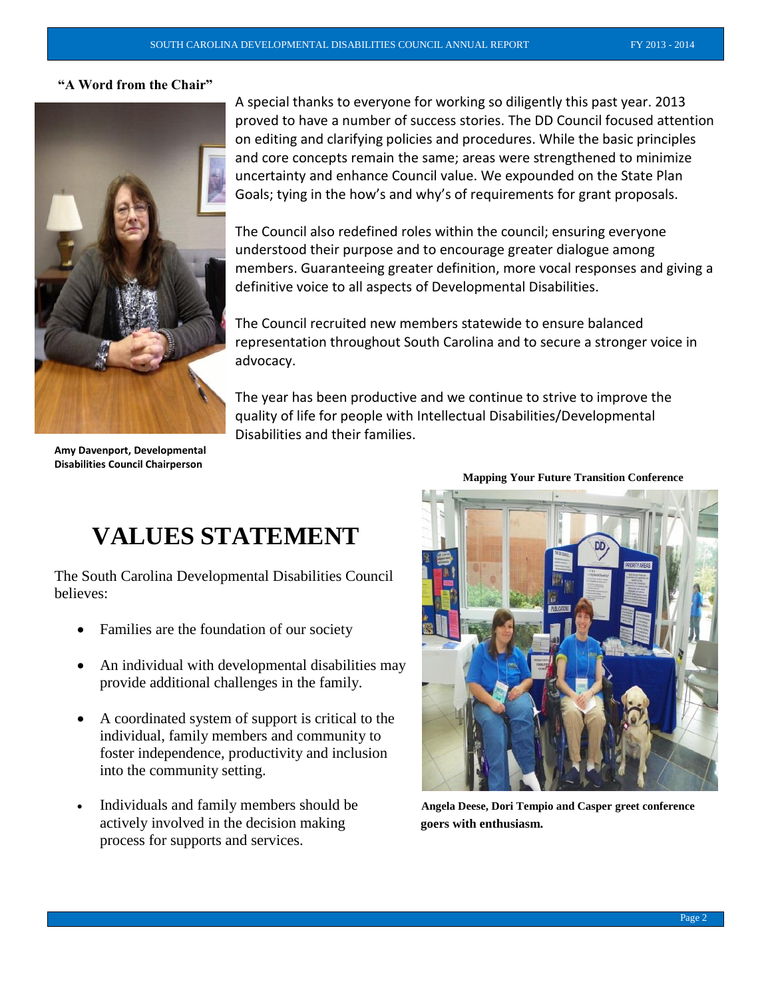#### **"A Word from the Chair"**



A special thanks to everyone for working so diligently this past year. 2013 proved to have a number of success stories. The DD Council focused attention on editing and clarifying policies and procedures. While the basic principles and core concepts remain the same; areas were strengthened to minimize uncertainty and enhance Council value. We expounded on the State Plan Goals; tying in the how's and why's of requirements for grant proposals.

The Council also redefined roles within the council; ensuring everyone understood their purpose and to encourage greater dialogue among members. Guaranteeing greater definition, more vocal responses and giving a definitive voice to all aspects of Developmental Disabilities.

The Council recruited new members statewide to ensure balanced representation throughout South Carolina and to secure a stronger voice in advocacy.

The year has been productive and we continue to strive to improve the quality of life for people with Intellectual Disabilities/Developmental Disabilities and their families.

**Amy Davenport, Developmental Disabilities Council Chairperson**

# **VALUES STATEMENT**

The South Carolina Developmental Disabilities Council believes:

- Families are the foundation of our society
- An individual with developmental disabilities may provide additional challenges in the family.
- A coordinated system of support is critical to the individual, family members and community to foster independence, productivity and inclusion into the community setting.
- Individuals and family members should be **Angela Deese, Dori Tempio and Casper greet conference**  actively involved in the decision making **goes** with enthusiasm. process for supports and services.

**Mapping Your Future Transition Conference**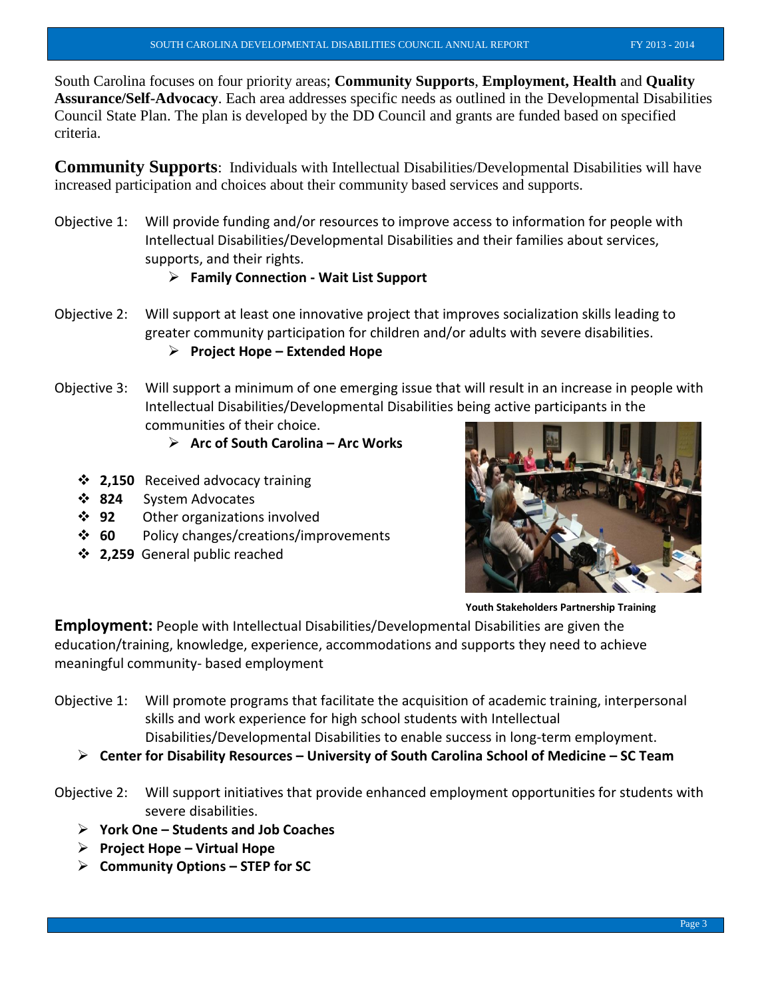South Carolina focuses on four priority areas; **Community Supports**, **Employment, Health** and **Quality Assurance/Self-Advocacy**. Each area addresses specific needs as outlined in the Developmental Disabilities Council State Plan. The plan is developed by the DD Council and grants are funded based on specified criteria.

**Community Supports**: Individuals with Intellectual Disabilities/Developmental Disabilities will have increased participation and choices about their community based services and supports.

Objective 1: Will provide funding and/or resources to improve access to information for people with Intellectual Disabilities/Developmental Disabilities and their families about services, supports, and their rights.

## **Family Connection - Wait List Support**

Objective 2: Will support at least one innovative project that improves socialization skills leading to greater community participation for children and/or adults with severe disabilities.

# **Project Hope – Extended Hope**

Objective 3: Will support a minimum of one emerging issue that will result in an increase in people with Intellectual Disabilities/Developmental Disabilities being active participants in the communities of their choice.

## **Arc of South Carolina – Arc Works**

- **2,150** Received advocacy training
- **824** System Advocates
- **92** Other organizations involved
- **60** Policy changes/creations/improvements
- **2,259** General public reached



**Youth Stakeholders Partnership Training**

**Employment:** People with Intellectual Disabilities/Developmental Disabilities are given the education/training, knowledge, experience, accommodations and supports they need to achieve meaningful community- based employment

- Objective 1: Will promote programs that facilitate the acquisition of academic training, interpersonal skills and work experience for high school students with Intellectual Disabilities/Developmental Disabilities to enable success in long-term employment.
	- **Center for Disability Resources – University of South Carolina School of Medicine – SC Team**

Objective 2: Will support initiatives that provide enhanced employment opportunities for students with severe disabilities.

- **York One – Students and Job Coaches**
- **Project Hope – Virtual Hope**
- **Community Options – STEP for SC**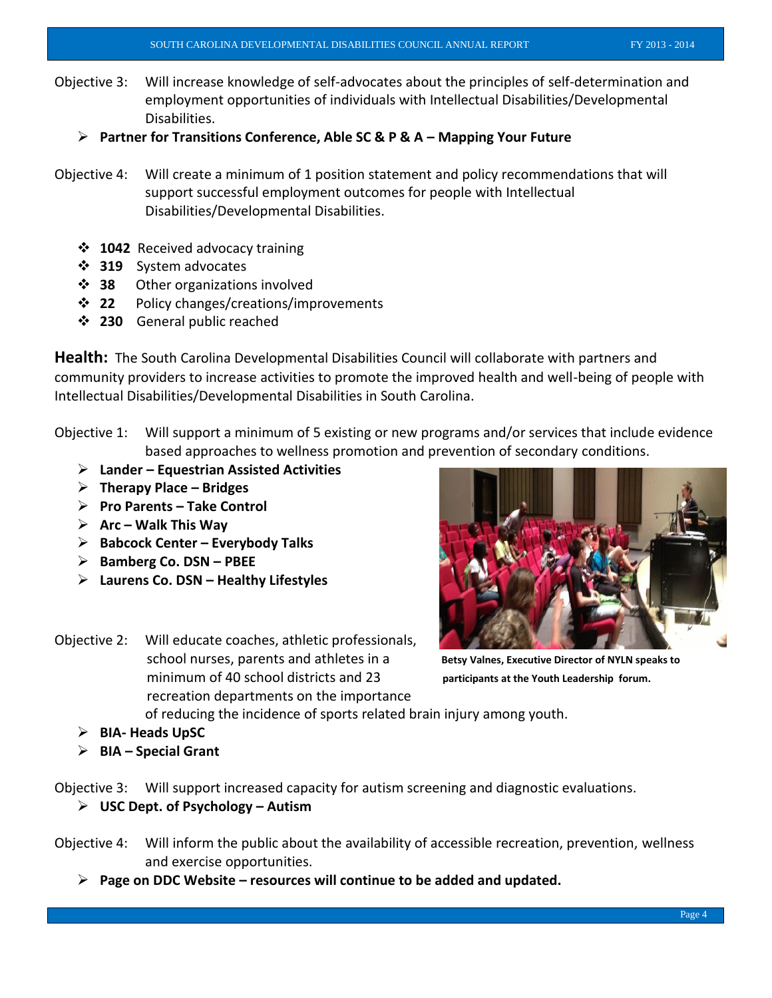- Objective 3: Will increase knowledge of self-advocates about the principles of self-determination and employment opportunities of individuals with Intellectual Disabilities/Developmental Disabilities.
	- **Partner for Transitions Conference, Able SC & P & A – Mapping Your Future**
- Objective 4: Will create a minimum of 1 position statement and policy recommendations that will support successful employment outcomes for people with Intellectual Disabilities/Developmental Disabilities.
	- **1042** Received advocacy training
	- **319** System advocates
	- **38** Other organizations involved
	- **❖ 22** Policy changes/creations/improvements
	- **230** General public reached

**Health:** The South Carolina Developmental Disabilities Council will collaborate with partners and community providers to increase activities to promote the improved health and well-being of people with Intellectual Disabilities/Developmental Disabilities in South Carolina.

- Objective 1: Will support a minimum of 5 existing or new programs and/or services that include evidence based approaches to wellness promotion and prevention of secondary conditions.
	- **Lander – Equestrian Assisted Activities**
	- **Therapy Place – Bridges**
	- **Pro Parents – Take Control**
	- **Arc – Walk This Way**
	- **Babcock Center – Everybody Talks**
	- **Bamberg Co. DSN – PBEE**
	- **Laurens Co. DSN – Healthy Lifestyles**
- Objective 2: Will educate coaches, athletic professionals, school nurses, parents and athletes in a **Betsy Valnes, Executive Director of NYLN speaks to** minimum of 40 school districts and 23 **participants at the Youth Leadership forum.**  recreation departments on the importance



of reducing the incidence of sports related brain injury among youth.

- **BIA- Heads UpSC**
- **BIA – Special Grant**

Objective 3: Will support increased capacity for autism screening and diagnostic evaluations.

- **USC Dept. of Psychology – Autism**
- Objective 4: Will inform the public about the availability of accessible recreation, prevention, wellness and exercise opportunities.
	- **Page on DDC Website – resources will continue to be added and updated.**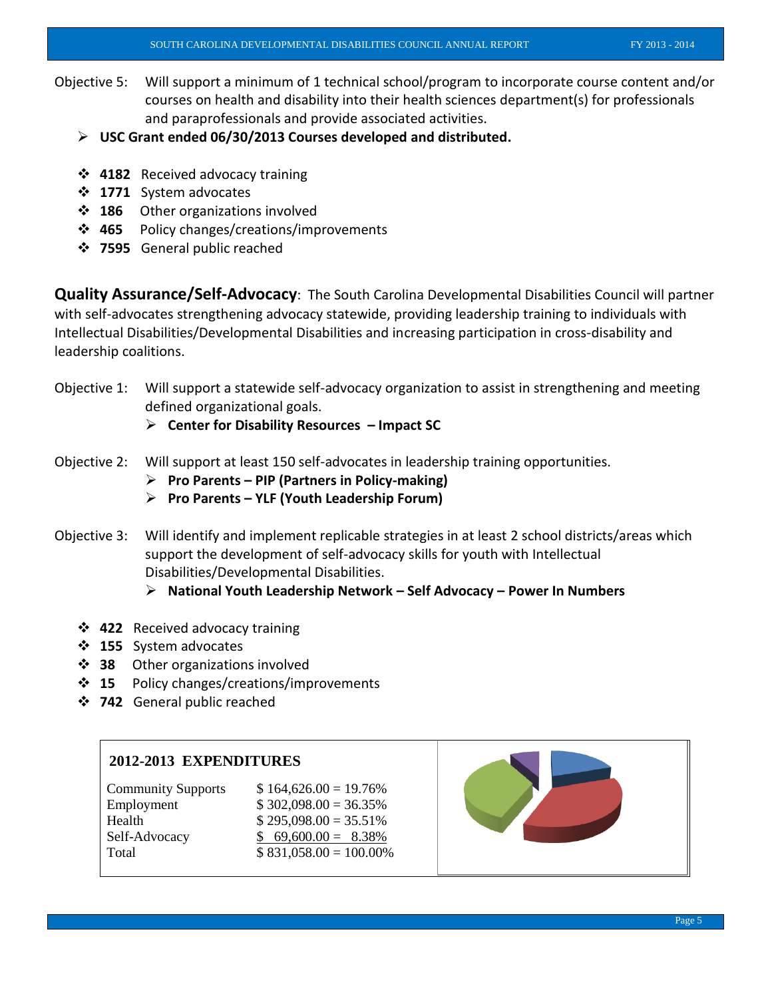- Objective 5: Will support a minimum of 1 technical school/program to incorporate course content and/or courses on health and disability into their health sciences department(s) for professionals and paraprofessionals and provide associated activities.
	- **USC Grant ended 06/30/2013 Courses developed and distributed.**
	- **4182** Received advocacy training
	- **1771** System advocates
	- **❖ 186** Other organizations involved
	- **465** Policy changes/creations/improvements
	- **7595** General public reached

**Quality Assurance/Self-Advocacy**: The South Carolina Developmental Disabilities Council will partner with self-advocates strengthening advocacy statewide, providing leadership training to individuals with Intellectual Disabilities/Developmental Disabilities and increasing participation in cross-disability and leadership coalitions.

Objective 1: Will support a statewide self-advocacy organization to assist in strengthening and meeting defined organizational goals.

**Center for Disability Resources – Impact SC**

- Objective 2: Will support at least 150 self-advocates in leadership training opportunities.
	- **Pro Parents – PIP (Partners in Policy-making)**
	- **Pro Parents – YLF (Youth Leadership Forum)**
- Objective 3: Will identify and implement replicable strategies in at least 2 school districts/areas which support the development of self-advocacy skills for youth with Intellectual Disabilities/Developmental Disabilities.
	- **National Youth Leadership Network – Self Advocacy – Power In Numbers**
	- **422** Received advocacy training
	- **155** System advocates
	- **38** Other organizations involved
	- **15** Policy changes/creations/improvements
	- **742** General public reached

#### **2012-2013 EXPENDITURES**

| <b>Community Supports</b> | $$164,626.00 = 19.76\%$  |
|---------------------------|--------------------------|
| Employment                | $$302,098.00 = 36.35\%$  |
| Health                    | $$295,098.00 = 35.51\%$  |
| Self-Advocacy             | $$69,600.00 = 8.38\%$    |
| Total                     | $$831,058.00 = 100.00\%$ |